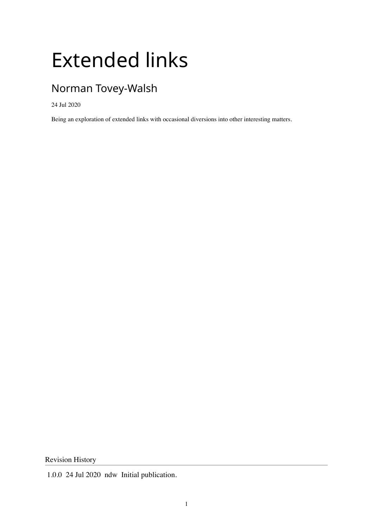## Extended links

### Norman Tovey-Walsh

24 Jul 2020

Being an exploration of extended links with occasional diversions into other interesting matters.

Revision History

<sup>1.0.0</sup> 24 Jul 2020 ndw Initial publication.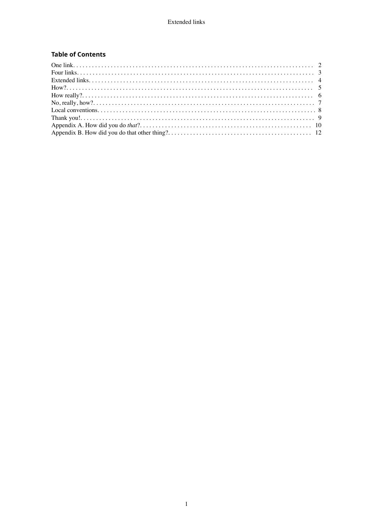#### **Table of Contents**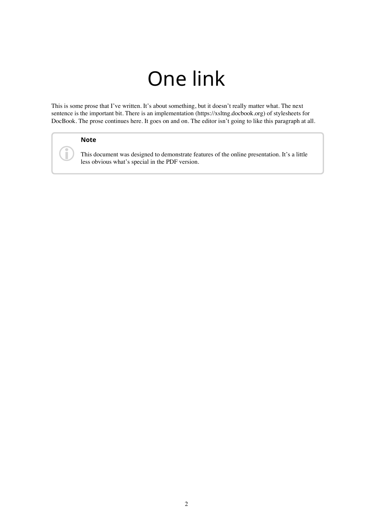## One link

<span id="page-2-0"></span>This is some prose that I've written. It's about something, but it doesn't really matter what. The next sentence is the important bit. There is [an implementation](https://xsltng.docbook.org) (https://xsltng.docbook.org) of stylesheets for DocBook. The prose continues here. It goes on and on. The editor isn't going to like this paragraph at all.

#### **Note**

i

This document was designed to demonstrate features of the online presentation. It's a little less obvious what's special in the PDF version.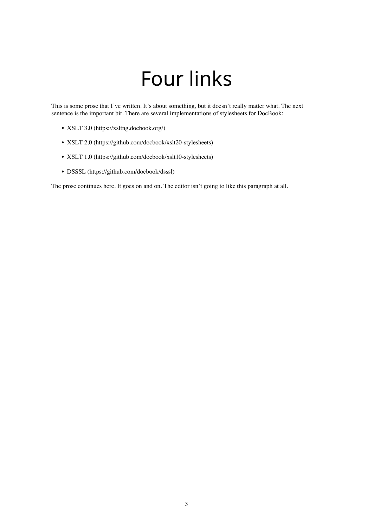## Four links

<span id="page-3-0"></span>This is some prose that I've written. It's about something, but it doesn't really matter what. The next sentence is the important bit. There are several implementations of stylesheets for DocBook:

- [XSLT 3.0](https://xsltng.docbook.org/) (https://xsltng.docbook.org/)
- [XSLT 2.0](https://github.com/docbook/xslt20-stylesheets) (https://github.com/docbook/xslt20-stylesheets)
- [XSLT 1.0](https://github.com/docbook/xslt10-stylesheets) (https://github.com/docbook/xslt10-stylesheets)
- [DSSSL](https://github.com/docbook/dsssl) (https://github.com/docbook/dsssl)

The prose continues here. It goes on and on. The editor isn't going to like this paragraph at all.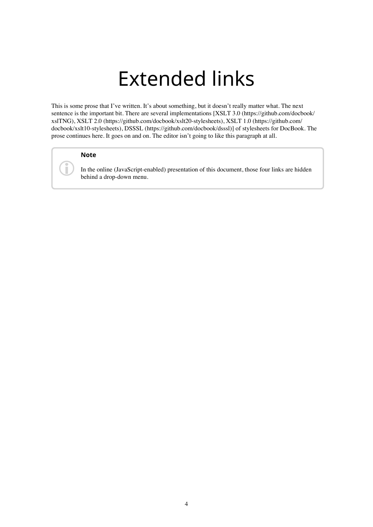### Extended links

<span id="page-4-0"></span>This is some prose that I've written. It's about something, but it doesn't really matter what. The next sentence is the important bit. There are several implementations [[XSLT 3.0 \(https://github.com/docbook/](https://github.com/docbook/xslTNG) [xslTNG\),](https://github.com/docbook/xslTNG) [XSLT 2.0 \(https://github.com/docbook/xslt20-stylesheets\),](https://github.com/docbook/xslt20-stylesheets) [XSLT 1.0 \(https://github.com/](https://github.com/docbook/xslt10-stylesheets) [docbook/xslt10-stylesheets\),](https://github.com/docbook/xslt10-stylesheets) [DSSSL \(https://github.com/docbook/dsssl\)](https://github.com/docbook/dsssl)] of stylesheets for DocBook. The prose continues here. It goes on and on. The editor isn't going to like this paragraph at all.

#### **Note**

Ù

In the online (JavaScript-enabled) presentation of this document, those four links are hidden behind a drop-down menu.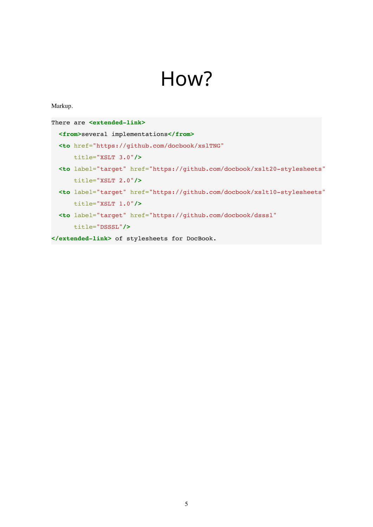### How?

#### <span id="page-5-0"></span>Markup.

| There are <extended-link></extended-link>                                                |  |  |  |
|------------------------------------------------------------------------------------------|--|--|--|
| <from>several implementations</from>                                                     |  |  |  |
| <to <="" href="https://github.com/docbook/xslTNG" th=""></to>                            |  |  |  |
| $title="XSLT 3.0"$ />                                                                    |  |  |  |
| <to <="" href="https://github.com/docbook/xslt20-stylesheets" label="target" th=""></to> |  |  |  |
| $title="XSLT 2.0"$ />                                                                    |  |  |  |
| <to <="" href="https://github.com/docbook/xslt10-stylesheets" label="target" th=""></to> |  |  |  |
| $title="XSLT 1.0"$ />                                                                    |  |  |  |
| <to <="" href="https://github.com/docbook/dsssl" label="target" th=""></to>              |  |  |  |
| $title="DSSSL"$ />                                                                       |  |  |  |
| of stylesheets for DocBook.                                                              |  |  |  |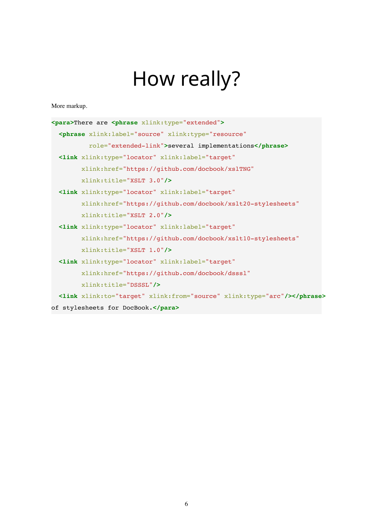# How really?

<span id="page-6-0"></span>More markup.

| <para>There are <phrase xlink:type="extended"></phrase></para>        |
|-----------------------------------------------------------------------|
| <phrase <="" label="source" th="" type="resource" xlink:=""></phrase> |
| role="extended-link">several implementations                          |
| <link <="" td="" xlink:label="target" xlink:type="locator"/>          |
| xlink: href="https://github.com/docbook/xslTNG"                       |
| xlink:title="XSLT 3.0"/>                                              |
| <link <="" td="" xlink:label="target" xlink:type="locator"/>          |
| xlink:href="https://github.com/docbook/xslt20-stylesheets"            |
| xlink:title="XSLT 2.0"/>                                              |
| <link <="" th="" xlink:label="target" xlink:type="locator"/>          |
| xlink:href="https://github.com/docbook/xslt10-stylesheets"            |
| xlink:title="XSLT 1.0"/>                                              |
| <link <="" th="" xlink:label="target" xlink:type="locator"/>          |
| xlink:href="https://github.com/docbook/dsssl"                         |
| xlink:title="DSSSL"/>                                                 |
| <link xlink:from="source" xlink:to="target" xlink:type="arc"/>        |
| of stylesheets for DocBook.                                           |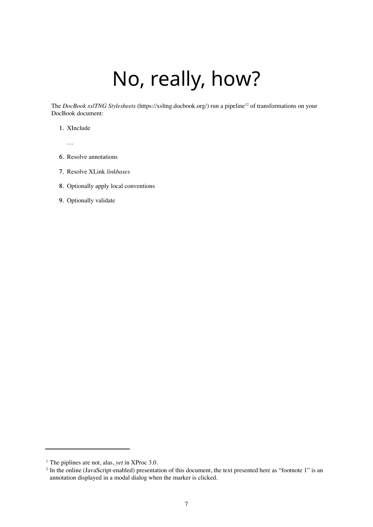## No, really, how?

<span id="page-7-0"></span>The *[DocBook xslTNG Stylesheets](https://xsltng.docbook.org/)* (https://xsltng.docbook.org/) run a pipeline<sup>12</sup> of transformations on your DocBook document:

- 1. XInclude
	- …
- 6. Resolve annotations
- 7. Resolve XLink *[linkbases](https://www.w3.org/TR/xlink11/#reltophysloc)*
- 8. Optionally apply local conventions
- 9. Optionally validate

<sup>1</sup> The piplines are not, alas, *yet* in XProc 3.0.

<sup>&</sup>lt;sup>2</sup> In the online (JavaScript-enabled) presentation of this document, the text presented here as "footnote 1" is an annotation displayed in a modal dialog when the marker is clicked.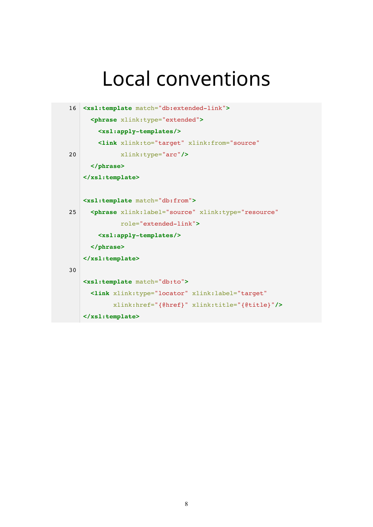### <span id="page-8-0"></span>Local conventions

```
16 <xsl:template match="db:extended-link">
      <phrase xlink:type="extended">
        <xsl:apply-templates/>
        <link xlink:to="target" xlink:from="source"
20 xlink:type="arc"/>
      </phrase>
   </xsl:template>
   <xsl:template match="db:from">
25 <phrase xlink:label="source" xlink:type="resource"
              role="extended-link">
        <xsl:apply-templates/>
      </phrase>
   </xsl:template>
30
   <xsl:template match="db:to">
      <link xlink:type="locator" xlink:label="target"
            xlink:href="{@href}" xlink:title="{@title}"/>
   </xsl:template>
```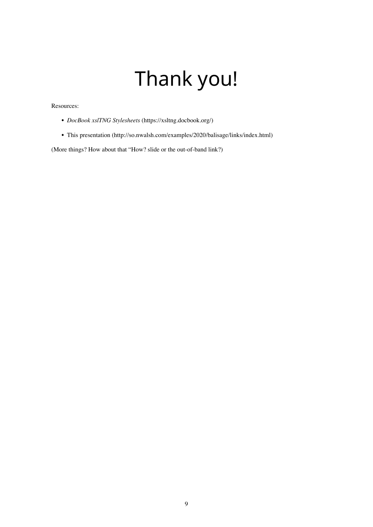# Thank you!

#### <span id="page-9-0"></span>Resources:

- *[DocBook xslTNG Stylesheets](https://xsltng.docbook.org/)* (https://xsltng.docbook.org/)
- [This presentation](http://so.nwalsh.com/examples/2020/balisage/links/index.html) (http://so.nwalsh.com/examples/2020/balisage/links/index.html)

(More things? How about that ["How?](#page-5-0) slide or the out-of-band link?)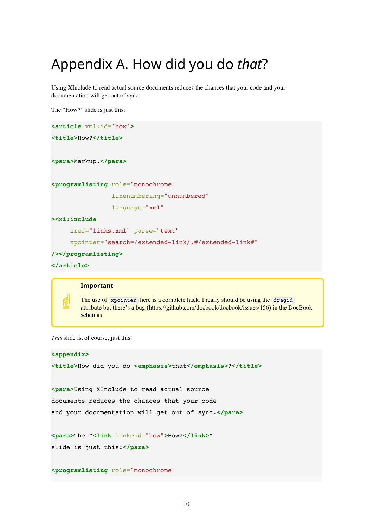### <span id="page-10-0"></span>Appendix A. How did you do *that*?

Using XInclude to read actual source documents reduces the chances that your code and your documentation will get out of sync.

The ["How?](#page-5-0)" slide is just this:

```
<article xml:id='how'>
<title>How?</title>
<para>Markup.</para>
```
**<programlisting** role="monochrome"

linenumbering="unnumbered"

language="xml"

**><xi:include**

href="links.xml" parse="text"

xpointer="search=/extended-link/,#/extended-link#"

```
/></programlisting>
```

```
</article>
```
#### **Important**

☝ The use of xpointer here is a complete hack. I really should be using the fragid attribute but there's [a bug](https://github.com/docbook/docbook/issues/156) (https://github.com/docbook/docbook/issues/156) in the DocBook schemas.

*This* slide is, of course, just this:

```
<appendix>
<title>How did you do <emphasis>that</emphasis>?</title>
<para>Using XInclude to read actual source
documents reduces the chances that your code
and your documentation will get out of sync.</para>
<para>The "<link linkend="how">How?</link>"
slide is just this:</para>
<programlisting role="monochrome"
```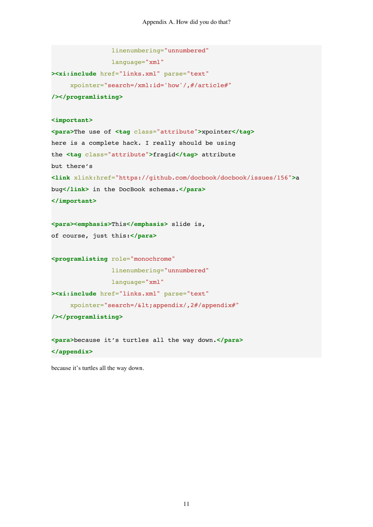Appendix A. How did you do that?

linenumbering="unnumbered"

language="xml"

```
><xi:include href="links.xml" parse="text"
      xpointer="search=/xml:id='how'/,#/article#"
/></programlisting>
<important>
<para>The use of <tag class="attribute">xpointer</tag>
here is a complete hack. I really should be using
the <tag class="attribute">fragid</tag> attribute
but there's
<link xlink:href="https://github.com/docbook/docbook/issues/156">a
bug</link> in the DocBook schemas.</para>
</important>
<para><emphasis>This</emphasis> slide is,
of course, just this:</para>
<programlisting role="monochrome"
                 linenumbering="unnumbered"
                 language="xml"
><xi:include href="links.xml" parse="text"
     xpointer="search=/<appendix/,2#/appendix#"
/></programlisting>
<para>because it's turtles all the way down.</para>
```
because it's turtles all the way down.

**</appendix>**